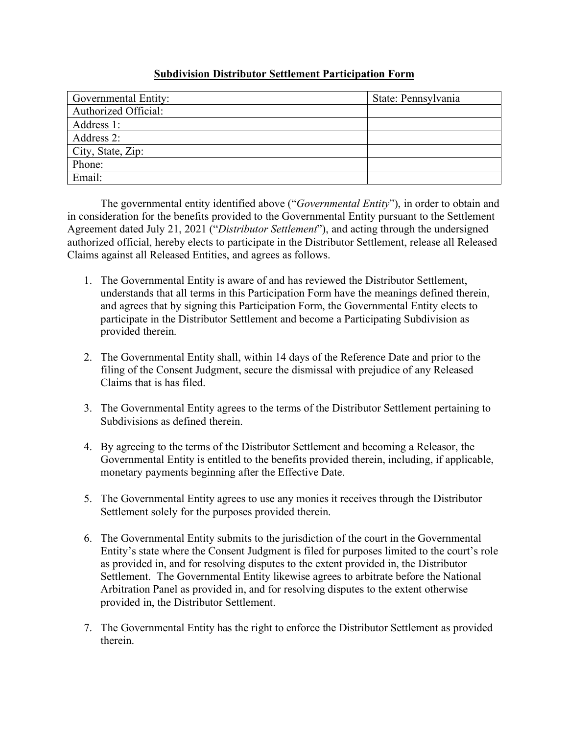## **Subdivision Distributor Settlement Participation Form**

| Governmental Entity:        | State: Pennsylvania |
|-----------------------------|---------------------|
| <b>Authorized Official:</b> |                     |
| Address 1:                  |                     |
| Address 2:                  |                     |
| City, State, Zip:           |                     |
| Phone:                      |                     |
| Email:                      |                     |

The governmental entity identified above ("*Governmental Entity*"), in order to obtain and in consideration for the benefits provided to the Governmental Entity pursuant to the Settlement Agreement dated July 21, 2021 ("*Distributor Settlement*"), and acting through the undersigned authorized official, hereby elects to participate in the Distributor Settlement, release all Released Claims against all Released Entities, and agrees as follows.

- 1. The Governmental Entity is aware of and has reviewed the Distributor Settlement, understands that all terms in this Participation Form have the meanings defined therein, and agrees that by signing this Participation Form, the Governmental Entity elects to participate in the Distributor Settlement and become a Participating Subdivision as provided therein.
- 2. The Governmental Entity shall, within 14 days of the Reference Date and prior to the filing of the Consent Judgment, secure the dismissal with prejudice of any Released Claims that is has filed.
- 3. The Governmental Entity agrees to the terms of the Distributor Settlement pertaining to Subdivisions as defined therein.
- 4. By agreeing to the terms of the Distributor Settlement and becoming a Releasor, the Governmental Entity is entitled to the benefits provided therein, including, if applicable, monetary payments beginning after the Effective Date.
- 5. The Governmental Entity agrees to use any monies it receives through the Distributor Settlement solely for the purposes provided therein.
- 6. The Governmental Entity submits to the jurisdiction of the court in the Governmental Entity's state where the Consent Judgment is filed for purposes limited to the court's role as provided in, and for resolving disputes to the extent provided in, the Distributor Settlement. The Governmental Entity likewise agrees to arbitrate before the National Arbitration Panel as provided in, and for resolving disputes to the extent otherwise provided in, the Distributor Settlement.
- 7. The Governmental Entity has the right to enforce the Distributor Settlement as provided therein.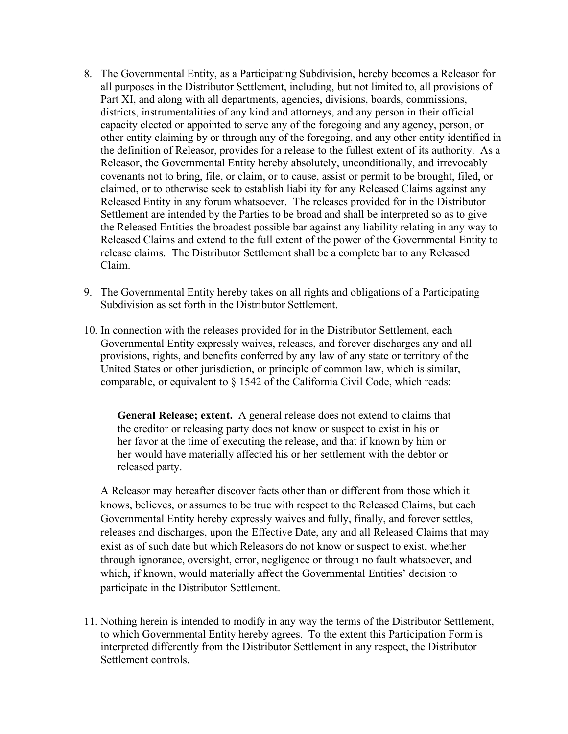- 8. The Governmental Entity, as a Participating Subdivision, hereby becomes a Releasor for all purposes in the Distributor Settlement, including, but not limited to, all provisions of Part XI, and along with all departments, agencies, divisions, boards, commissions, districts, instrumentalities of any kind and attorneys, and any person in their official capacity elected or appointed to serve any of the foregoing and any agency, person, or other entity claiming by or through any of the foregoing, and any other entity identified in the definition of Releasor, provides for a release to the fullest extent of its authority. As a Releasor, the Governmental Entity hereby absolutely, unconditionally, and irrevocably covenants not to bring, file, or claim, or to cause, assist or permit to be brought, filed, or claimed, or to otherwise seek to establish liability for any Released Claims against any Released Entity in any forum whatsoever. The releases provided for in the Distributor Settlement are intended by the Parties to be broad and shall be interpreted so as to give the Released Entities the broadest possible bar against any liability relating in any way to Released Claims and extend to the full extent of the power of the Governmental Entity to release claims. The Distributor Settlement shall be a complete bar to any Released Claim.
- 9. The Governmental Entity hereby takes on all rights and obligations of a Participating Subdivision as set forth in the Distributor Settlement.
- 10. In connection with the releases provided for in the Distributor Settlement, each Governmental Entity expressly waives, releases, and forever discharges any and all provisions, rights, and benefits conferred by any law of any state or territory of the United States or other jurisdiction, or principle of common law, which is similar, comparable, or equivalent to § 1542 of the California Civil Code, which reads:

**General Release; extent.** A general release does not extend to claims that the creditor or releasing party does not know or suspect to exist in his or her favor at the time of executing the release, and that if known by him or her would have materially affected his or her settlement with the debtor or released party.

A Releasor may hereafter discover facts other than or different from those which it knows, believes, or assumes to be true with respect to the Released Claims, but each Governmental Entity hereby expressly waives and fully, finally, and forever settles, releases and discharges, upon the Effective Date, any and all Released Claims that may exist as of such date but which Releasors do not know or suspect to exist, whether through ignorance, oversight, error, negligence or through no fault whatsoever, and which, if known, would materially affect the Governmental Entities' decision to participate in the Distributor Settlement.

11. Nothing herein is intended to modify in any way the terms of the Distributor Settlement, to which Governmental Entity hereby agrees. To the extent this Participation Form is interpreted differently from the Distributor Settlement in any respect, the Distributor Settlement controls.